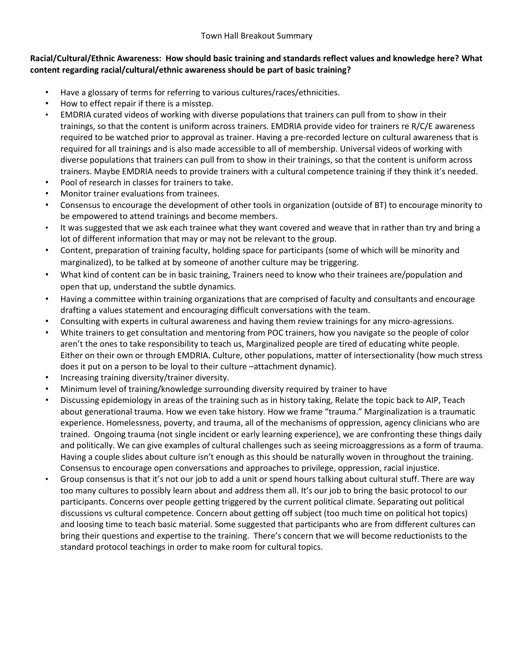# **Racial/Cultural/Ethnic Awareness: How should basic training and standards reflect values and knowledge here? What content regarding racial/cultural/ethnic awareness should be part of basic training?**

- Have a glossary of terms for referring to various cultures/races/ethnicities.
- How to effect repair if there is a misstep.
- EMDRIA curated videos of working with diverse populations that trainers can pull from to show in their trainings, so that the content is uniform across trainers. EMDRIA provide video for trainers re R/C/E awareness required to be watched prior to approval as trainer. Having a pre-recorded lecture on cultural awareness that is required for all trainings and is also made accessible to all of membership. Universal videos of working with diverse populations that trainers can pull from to show in their trainings, so that the content is uniform across trainers. Maybe EMDRIA needs to provide trainers with a cultural competence training if they think it's needed.
- Pool of research in classes for trainers to take.
- Monitor trainer evaluations from trainees.
- Consensus to encourage the development of other tools in organization (outside of BT) to encourage minority to be empowered to attend trainings and become members.
- It was suggested that we ask each trainee what they want covered and weave that in rather than try and bring a lot of different information that may or may not be relevant to the group.
- Content, preparation of training faculty, holding space for participants (some of which will be minority and marginalized), to be talked at by someone of another culture may be triggering.
- What kind of content can be in basic training, Trainers need to know who their trainees are/population and open that up, understand the subtle dynamics.
- Having a committee within training organizations that are comprised of faculty and consultants and encourage drafting a values statement and encouraging difficult conversations with the team.
- Consulting with experts in cultural awareness and having them review trainings for any micro-agressions.
- White trainers to get consultation and mentoring from POC trainers, how you navigate so the people of color aren't the ones to take responsibility to teach us, Marginalized people are tired of educating white people. Either on their own or through EMDRIA. Culture, other populations, matter of intersectionality (how much stress does it put on a person to be loyal to their culture –attachment dynamic).
- Increasing training diversity/trainer diversity.
- Minimum level of training/knowledge surrounding diversity required by trainer to have
- Discussing epidemiology in areas of the training such as in history taking, Relate the topic back to AIP, Teach about generational trauma. How we even take history. How we frame "trauma." Marginalization is a traumatic experience. Homelessness, poverty, and trauma, all of the mechanisms of oppression, agency clinicians who are trained. Ongoing trauma (not single incident or early learning experience), we are confronting these things daily and politically. We can give examples of cultural challenges such as seeing microaggressions as a form of trauma. Having a couple slides about culture isn't enough as this should be naturally woven in throughout the training. Consensus to encourage open conversations and approaches to privilege, oppression, racial injustice.
- Group consensus is that it's not our job to add a unit or spend hours talking about cultural stuff. There are way too many cultures to possibly learn about and address them all. It's our job to bring the basic protocol to our participants. Concerns over people getting triggered by the current political climate. Separating out political discussions vs cultural competence. Concern about getting off subject (too much time on political hot topics) and loosing time to teach basic material. Some suggested that participants who are from different cultures can bring their questions and expertise to the training. There's concern that we will become reductionists to the standard protocol teachings in order to make room for cultural topics.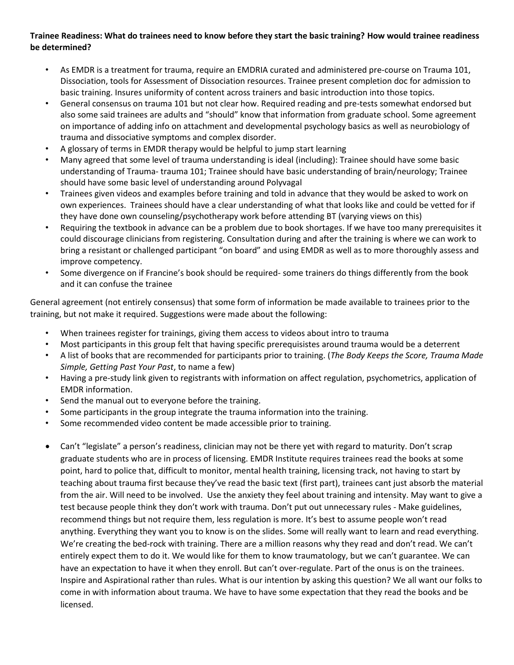### **Trainee Readiness: What do trainees need to know before they start the basic training? How would trainee readiness be determined?**

- As EMDR is a treatment for trauma, require an EMDRIA curated and administered pre-course on Trauma 101, Dissociation, tools for Assessment of Dissociation resources. Trainee present completion doc for admission to basic training. Insures uniformity of content across trainers and basic introduction into those topics.
- General consensus on trauma 101 but not clear how. Required reading and pre-tests somewhat endorsed but also some said trainees are adults and "should" know that information from graduate school. Some agreement on importance of adding info on attachment and developmental psychology basics as well as neurobiology of trauma and dissociative symptoms and complex disorder.
- A glossary of terms in EMDR therapy would be helpful to jump start learning
- Many agreed that some level of trauma understanding is ideal (including): Trainee should have some basic understanding of Trauma- trauma 101; Trainee should have basic understanding of brain/neurology; Trainee should have some basic level of understanding around Polyvagal
- Trainees given videos and examples before training and told in advance that they would be asked to work on own experiences. Trainees should have a clear understanding of what that looks like and could be vetted for if they have done own counseling/psychotherapy work before attending BT (varying views on this)
- Requiring the textbook in advance can be a problem due to book shortages. If we have too many prerequisites it could discourage clinicians from registering. Consultation during and after the training is where we can work to bring a resistant or challenged participant "on board" and using EMDR as well as to more thoroughly assess and improve competency.
- Some divergence on if Francine's book should be required- some trainers do things differently from the book and it can confuse the trainee

General agreement (not entirely consensus) that some form of information be made available to trainees prior to the training, but not make it required. Suggestions were made about the following:

- When trainees register for trainings, giving them access to videos about intro to trauma
- Most participants in this group felt that having specific prerequisistes around trauma would be a deterrent
- A list of books that are recommended for participants prior to training. (*The Body Keeps the Score, Trauma Made Simple, Getting Past Your Past*, to name a few)
- Having a pre-study link given to registrants with information on affect regulation, psychometrics, application of EMDR information.
- Send the manual out to everyone before the training.
- Some participants in the group integrate the trauma information into the training.
- Some recommended video content be made accessible prior to training.
- Can't "legislate" a person's readiness, clinician may not be there yet with regard to maturity. Don't scrap graduate students who are in process of licensing. EMDR Institute requires trainees read the books at some point, hard to police that, difficult to monitor, mental health training, licensing track, not having to start by teaching about trauma first because they've read the basic text (first part), trainees cant just absorb the material from the air. Will need to be involved. Use the anxiety they feel about training and intensity. May want to give a test because people think they don't work with trauma. Don't put out unnecessary rules - Make guidelines, recommend things but not require them, less regulation is more. It's best to assume people won't read anything. Everything they want you to know is on the slides. Some will really want to learn and read everything. We're creating the bed-rock with training. There are a million reasons why they read and don't read. We can't entirely expect them to do it. We would like for them to know traumatology, but we can't guarantee. We can have an expectation to have it when they enroll. But can't over-regulate. Part of the onus is on the trainees. Inspire and Aspirational rather than rules. What is our intention by asking this question? We all want our folks to come in with information about trauma. We have to have some expectation that they read the books and be licensed.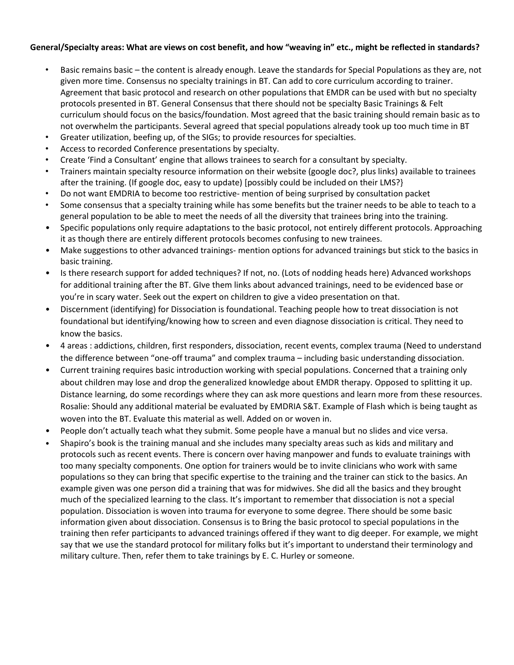#### **General/Specialty areas: What are views on cost benefit, and how "weaving in" etc., might be reflected in standards?**

- Basic remains basic the content is already enough. Leave the standards for Special Populations as they are, not given more time. Consensus no specialty trainings in BT. Can add to core curriculum according to trainer. Agreement that basic protocol and research on other populations that EMDR can be used with but no specialty protocols presented in BT. General Consensus that there should not be specialty Basic Trainings & Felt curriculum should focus on the basics/foundation. Most agreed that the basic training should remain basic as to not overwhelm the participants. Several agreed that special populations already took up too much time in BT
- Greater utilization, beefing up, of the SIGs; to provide resources for specialties.
- Access to recorded Conference presentations by specialty.
- Create 'Find a Consultant' engine that allows trainees to search for a consultant by specialty.
- Trainers maintain specialty resource information on their website (google doc?, plus links) available to trainees after the training. (If google doc, easy to update) [possibly could be included on their LMS?}
- Do not want EMDRIA to become too restrictive- mention of being surprised by consultation packet
- Some consensus that a specialty training while has some benefits but the trainer needs to be able to teach to a general population to be able to meet the needs of all the diversity that trainees bring into the training.
- Specific populations only require adaptations to the basic protocol, not entirely different protocols. Approaching it as though there are entirely different protocols becomes confusing to new trainees.
- Make suggestions to other advanced trainings- mention options for advanced trainings but stick to the basics in basic training.
- Is there research support for added techniques? If not, no. (Lots of nodding heads here) Advanced workshops for additional training after the BT. GIve them links about advanced trainings, need to be evidenced base or you're in scary water. Seek out the expert on children to give a video presentation on that.
- Discernment (identifying) for Dissociation is foundational. Teaching people how to treat dissociation is not foundational but identifying/knowing how to screen and even diagnose dissociation is critical. They need to know the basics.
- 4 areas : addictions, children, first responders, dissociation, recent events, complex trauma (Need to understand the difference between "one-off trauma" and complex trauma – including basic understanding dissociation.
- Current training requires basic introduction working with special populations. Concerned that a training only about children may lose and drop the generalized knowledge about EMDR therapy. Opposed to splitting it up. Distance learning, do some recordings where they can ask more questions and learn more from these resources. Rosalie: Should any additional material be evaluated by EMDRIA S&T. Example of Flash which is being taught as woven into the BT. Evaluate this material as well. Added on or woven in.
- People don't actually teach what they submit. Some people have a manual but no slides and vice versa.
- Shapiro's book is the training manual and she includes many specialty areas such as kids and military and protocols such as recent events. There is concern over having manpower and funds to evaluate trainings with too many specialty components. One option for trainers would be to invite clinicians who work with same populations so they can bring that specific expertise to the training and the trainer can stick to the basics. An example given was one person did a training that was for midwives. She did all the basics and they brought much of the specialized learning to the class. It's important to remember that dissociation is not a special population. Dissociation is woven into trauma for everyone to some degree. There should be some basic information given about dissociation. Consensus is to Bring the basic protocol to special populations in the training then refer participants to advanced trainings offered if they want to dig deeper. For example, we might say that we use the standard protocol for military folks but it's important to understand their terminology and military culture. Then, refer them to take trainings by E. C. Hurley or someone.